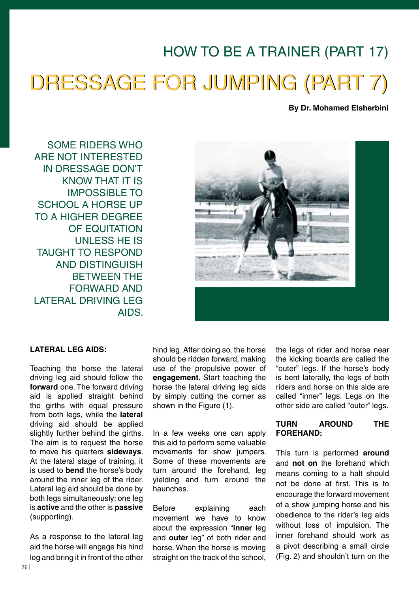# HOW TO BE A TRAINER (PART 17) DRESSAGE FOR JUMPING (PART 7)

**By Dr. Mohamed Elsherbini**

SOME RIDERS WHO ARE NOT INTERESTED IN DRESSAGE DON'T KNOW THAT IT IS IMPOSSIBLE TO SCHOOL A HORSE UP TO A HIGHER DEGREE OF EQUITATION UNLESS HE IS TAUGHT TO RESPOND AND DISTINGUISH BETWEEN THE FORWARD AND LATERAL DRIVING LEG AIDS.



## **LATERAL LEG AIDS:**

Teaching the horse the lateral driving leg aid should follow the **forward** one. The forward driving aid is applied straight behind the girths with equal pressure from both legs, while the **lateral**  driving aid should be applied slightly further behind the girths. The aim is to request the horse to move his quarters **sideways**. At the lateral stage of training, it is used to **bend** the horse's body around the inner leg of the rider. Lateral leg aid should be done by both legs simultaneously; one leg is **active** and the other is **passive** (supporting).

As a response to the lateral leg aid the horse will engage his hind leg and bring it in front of the other hind leg. After doing so, the horse should be ridden forward, making use of the propulsive power of **engagement**. Start teaching the horse the lateral driving leg aids by simply cutting the corner as shown in the Figure (1).

In a few weeks one can apply this aid to perform some valuable movements for show jumpers. Some of these movements are turn around the forehand, leg yielding and turn around the haunches.

Before explaining each movement we have to know about the expression "**inner** leg and **outer** leg" of both rider and horse. When the horse is moving straight on the track of the school. the legs of rider and horse near the kicking boards are called the "outer" legs. If the horse's body is bent laterally, the legs of both riders and horse on this side are called "inner" legs. Legs on the other side are called "outer" legs.

## **TURN AROUND THE FOREHAND:**

This turn is performed **around**  and **not on** the forehand which means coming to a halt should not be done at first. This is to encourage the forward movement of a show jumping horse and his obedience to the rider's leg aids without loss of impulsion. The inner forehand should work as a pivot describing a small circle (Fig. 2) and shouldn't turn on the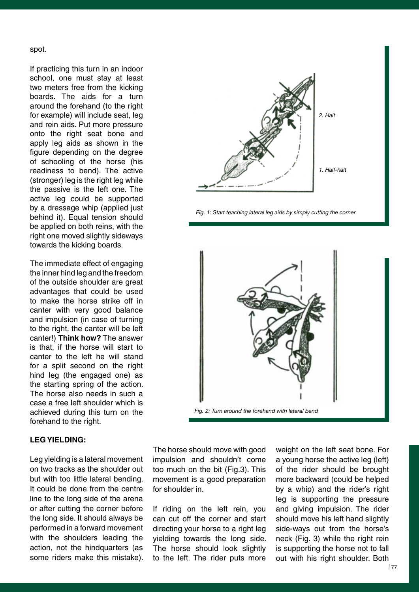spot.

If practicing this turn in an indoor school, one must stay at least two meters free from the kicking boards. The aids for a turn around the forehand (to the right for example) will include seat, leg and rein aids. Put more pressure onto the right seat bone and apply leg aids as shown in the figure depending on the degree of schooling of the horse (his readiness to bend). The active (stronger) leg is the right leg while the passive is the left one. The active leg could be supported by a dressage whip (applied just behind it). Equal tension should be applied on both reins, with the right one moved slightly sideways towards the kicking boards.

The immediate effect of engaging the inner hind leg and the freedom of the outside shoulder are great advantages that could be used to make the horse strike off in canter with very good balance and impulsion (in case of turning to the right, the canter will be left canter!) **Think how?** The answer is that, if the horse will start to canter to the left he will stand for a split second on the right hind leg (the engaged one) as the starting spring of the action. The horse also needs in such a case a free left shoulder which is achieved during this turn on the forehand to the right.

### **LEG YIELDING:**

Leg yielding is a lateral movement on two tracks as the shoulder out but with too little lateral bending. It could be done from the centre line to the long side of the arena or after cutting the corner before the long side. It should always be performed in a forward movement with the shoulders leading the action, not the hindquarters (as some riders make this mistake).



 *Fig. 1: start teaching lateral leg aids by simply cutting the corner*



The horse should move with good impulsion and shouldn't come too much on the bit (Fig.3). This movement is a good preparation for shoulder in.

If riding on the left rein, you can cut off the corner and start directing your horse to a right leg yielding towards the long side. The horse should look slightly to the left. The rider puts more

weight on the left seat bone. For a young horse the active leg (left) of the rider should be brought more backward (could be helped by a whip) and the rider's right leg is supporting the pressure and giving impulsion. The rider should move his left hand slightly side-ways out from the horse's neck (Fig. 3) while the right rein is supporting the horse not to fall out with his right shoulder. Both